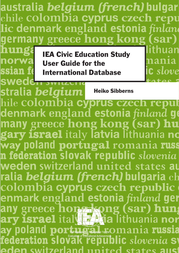australia belgium (french) bulgar chile colombia cyprus czech repu lic denmark england estonia finland germany greece hong kong (sar) hunga llithuan **IEA Civic Education Study** norwa nania

User Guide for the International Database

i**c** slove

ssian fe

SWeden SWILLLITE

stralia belgium Heiko Sibbernshile colombia cyprus czech reput denmark england estonia finland go many greece hong kong (sar) hu gary israel italy latvia lithuania no way poland portugal romania russ n féderation slovak republic slovenia weden switzerland united states at ralia belgium (french) bulgaria ch colombia cyprus czech republic enmark england estonia finland ger any greece hong kong (sar) hung The International Association for the Evaluation of Educational Achievement

eden switzerland united states aust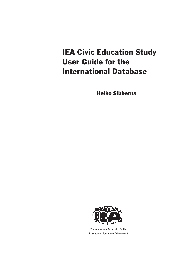## **IEA Civic Education Study** User Guide for the International Database

Heiko Sibberns



The International Association for the Evaluation of Educational Achievement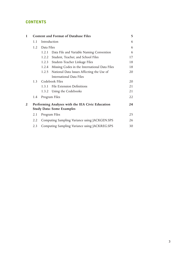## **CONTENTS**

| 1              | <b>Content and Format of Database Files</b> |                                                                                      |    |  |  |  |  |  |
|----------------|---------------------------------------------|--------------------------------------------------------------------------------------|----|--|--|--|--|--|
|                | 1.1                                         | Introduction                                                                         |    |  |  |  |  |  |
|                | 1.2                                         | Data Files                                                                           |    |  |  |  |  |  |
|                |                                             | Data File and Variable Naming Convention<br>1.2.1                                    | 6  |  |  |  |  |  |
|                |                                             | Student, Teacher, and School Files<br>1.2.2                                          | 17 |  |  |  |  |  |
|                |                                             | Student-Teacher Linkage Files<br>1.2.3                                               | 18 |  |  |  |  |  |
|                |                                             | Missing Codes in the International Data Files<br>1.2.4                               | 18 |  |  |  |  |  |
|                |                                             | National Data Issues Affecting the Use of<br>1.2.5                                   | 20 |  |  |  |  |  |
|                |                                             | <b>International Data Files</b>                                                      |    |  |  |  |  |  |
|                | 1.3                                         | Codebook Files                                                                       | 20 |  |  |  |  |  |
|                |                                             | 1.3.1 File Extension Definitions                                                     | 21 |  |  |  |  |  |
|                |                                             | Using the Codebooks<br>1.3.2                                                         | 21 |  |  |  |  |  |
|                | 1.4                                         | Program Files                                                                        | 22 |  |  |  |  |  |
| $\overline{2}$ |                                             | Performing Analyses with the IEA Civic Education<br><b>Study Data: Some Examples</b> | 24 |  |  |  |  |  |
|                | 2.1                                         | Program Files                                                                        |    |  |  |  |  |  |
|                | 2.2                                         | Computing Sampling Variance using JACKGEN.SPS                                        | 26 |  |  |  |  |  |
|                | 2.3                                         | Computing Sampling Variance using JACKREG.SPS                                        | 30 |  |  |  |  |  |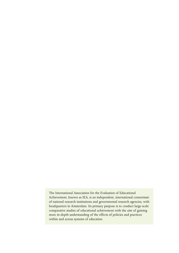The International Association for the Evaluation of Educational Achievement, known as IEA, is an independent, international consortium of national research institutions and governmental research agencies, with headquarters in Amsterdam. Its primary purpose is to conduct large-scale comparative studies of educational achievement with the aim of gaining more in-depth understanding of the effects of policies and practices within and across systems of education.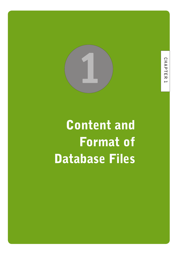

# Content and Format of Database Files

CHAPTER **CHAPTER 1** Ē

**5**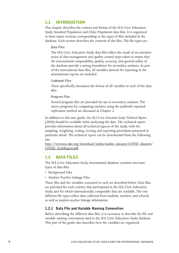## 1.1 INTRODUCTION

This chapter describes the content and format of the IEA Civic Education Study Standard Population and Older Population data files. It is organized in three major sections corresponding to the types of files included in the database. Each section describes the contents of the files. The file types are:

#### **Data Files**

The IEA Civic Education Study data files reflect the result of an extensive series of data management and quality control steps taken to ensure that the international comparability, quality, accuracy, and general utility of the database provide a strong foundation for secondary analyses. As part of the international data files, all variables derived for reporting in the international reports are included.

#### **Codebook Files**

These specifically document the format of all variables in each of the data files.

#### **Program Files**

Several program files are provided for use in secondary analyses. The macro programs for computing statistics using the jackknife repeated replication method are discussed in Chapter 2.

In addition to this user guide, the *IEA Civic Education Study Technical Report*  (2004) should be available when analyzing the data. The technical report provides information about all technical aspects of the study, with the sampling, weighting, scaling, scoring and reporting procedures presented in particular detail. The technical report can be downloaded from the following site:

http://www.iea-dpc.org/download/ieahq/studies\_datasets/CIVED\_datasets/ CIVED\_TechReport.pdf

## 1.2 DATA FILES

The IEA Civic Education Study international database contains two basic types of data files:

- Background Files
- Student-Teacher Linkage Files.

These files and the variables contained in each are described below. Data files are provided for each country that participated in the IEA Civic Education Study and for which internationally comparable data are available. The two different file types reflect data collected from students, teachers, and schools, as well as student-teacher linkage information.

## 1.2.1 Data File and Variable Naming Convention

Before describing the different data files, it is necessary to describe the file and variable naming conventions used in the IEA Civic Education Study database. This part of the guide also describes how the variables are organized.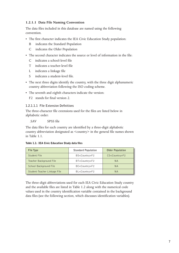## **1.2.1.1 Data File Naming Convention**

The data files included in this database are named using the following convention.

- The first character indicates the IEA Civic Education Study population:
	- B indicates the Standard Population
	- C indicates the Older Population
- The second character indicates the source or level of information in the file:
	- C indicates a school-level file
	- T indicates a teacher-level file
	- L indicates a linkage file
	- S indicates a student-level file.
- The next three digits identify the country, with the three digit alphanumeric country abbreviation following the ISO coding scheme.
- The seventh and eighth characters indicate the version:
	- F<sub>2</sub> stands for final version 2.

## **1.2.1.1.1. File Extension Definitions**

The three-character file extensions used for the files are listed below in alphabetic order:

.SAV SPSS file

The data files for each country are identified by a three-digit alphabetic country abbreviation designated as <country> in the general file names shown in Table 1.1.

Table 1.1: IEA Civic Education Study data files

| File Type                    | <b>Standard Population</b> | <b>Older Population</b> |
|------------------------------|----------------------------|-------------------------|
| Student File                 | BS <country>F2</country>   | $CS <$ Country $>$ F2   |
| Teacher Background File      | BT <country>F2</country>   | <b>NA</b>               |
| School Background File       | BC <country>F2</country>   | <b>NA</b>               |
| Student-Teacher Linkage File | BL <country>F2</country>   | <b>NA</b>               |

The three-digit abbreviations used for each IEA Civic Education Study country and the available files are listed in Table 1.2 along with the numerical code values used in the country identification variable contained in the background data files (see the following section, which discusses identification variables).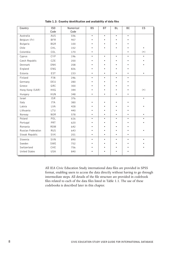| Country              | IS <sub>0</sub><br>Code | Numerical<br>Code | <b>BS</b> | <b>BT</b> | <b>BL</b> | BC        | $\mathsf{CS}\phantom{0}$ |
|----------------------|-------------------------|-------------------|-----------|-----------|-----------|-----------|--------------------------|
| Australia            | AUS                     | 036               | $\bullet$ | $\bullet$ | $\bullet$ | $\bullet$ |                          |
| Belgium (Fr)         | <b>BFR</b>              | 957               |           |           |           |           |                          |
| Bulgaria             | <b>BGR</b>              | 100               |           |           |           |           |                          |
| Chile                | CHL                     | 152               |           |           |           |           | $\bullet$                |
| Colombia             | COL                     | 170               |           |           |           |           | $(\,\bullet\,)$          |
| Cyprus               | CYP                     | 196               | ٠         | $\bullet$ | $\bullet$ | ٠         |                          |
| Czech Republic       | CZE                     | 200               |           |           |           |           |                          |
| Denmark              | DNK                     | 208               |           |           |           |           |                          |
| England              | ENG                     | 826               |           |           |           |           |                          |
| Estonia              | EST                     | 233               |           |           |           |           |                          |
| Finland              | FIN                     | 246               | $\bullet$ | $\bullet$ |           | $\bullet$ |                          |
| Germany              | DEU                     | 280               |           |           |           |           |                          |
| Greece               | GRC                     | 300               |           |           |           |           |                          |
| Hong Kong (SAR)      | <b>HKG</b>              | 344               |           |           |           |           | $(\,\bullet\,)$          |
| Hungary              | <b>HUN</b>              | 348               |           |           |           |           |                          |
| Israel               | <b>ISR</b>              | 376               |           |           |           |           | $\bullet$                |
| Italy                | <b>ITA</b>              | 380               |           |           |           |           |                          |
| Latvia               | <b>LVA</b>              | 428               |           |           |           |           |                          |
| Lithuania            | LTU                     | 440               |           |           |           |           |                          |
| Norway               | <b>NOR</b>              | 578               |           |           |           |           |                          |
| Poland               | POL                     | 616               | $\bullet$ | $\bullet$ |           |           |                          |
| Portugal             | PRT                     | 620               |           |           |           |           |                          |
| Romania              | <b>ROM</b>              | 642               |           |           |           |           |                          |
| Russian Federation   | <b>RUS</b>              | 643               |           |           |           |           |                          |
| Slovak Republic      | SVK                     | 201               | ٠         | ٠         | $\bullet$ | ٠         |                          |
| Slovenia             | SVN                     | 890               | $\bullet$ | $\bullet$ |           | ٠         |                          |
| Sweden               | SWE                     | 752               |           |           |           |           |                          |
| Switzerland          | CHE                     | 756               |           |           |           |           |                          |
| <b>United States</b> | USA                     | 840               |           |           |           |           |                          |

Table 1.2: Country identification and availability of data files

All IEA Civic Education Study international data files are provided in SPSS format, enabling users to access the data directly without having to go through intermediate steps. All details of the file structure are provided in codebook files related to each of the data files listed in Table 1.1. The use of these codebooks is described later in this chapter.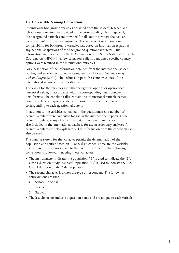## **1.2.1.2 Variable Naming Convention**

International background variables obtained from the student, teacher, and school questionnaires are provided in the corresponding files. In general, the background variables are provided for all countries where the data are considered internationally comparable. The assessment of international comparability for background variables was based on information regarding any national adaptations of the background questionnaire items. This information was provided by the IEA Civic Education Study National Research Coordinators (NRCs). In a few cases, some slightly modified specific country options were retained in the international variables.

For a description of the information obtained from the international student, teacher, and school questionnaire items, see the *IEA Civic Education Study Technical Report* (2004). The technical report also contains copies of the international versions of the questionnaires.

The values for the variables are either categorical options or open-ended numerical values, in accordance with the corresponding questionnaire item formats. The codebook files contain the international variable names, descriptive labels, response code definitions, formats, and field locations corresponding to each questionnaire item.

In addition to the variables contained in the questionnaires, a number of derived variables were computed for use in the international reports. These derived variables, many of which use data from more than one source, are also included in the international database for use in secondary analyses. All derived variables are self-explanatory. The information from the codebook can also be used.

The naming system for the variables permits the determination of the population and source based on 7- or 8-digit codes. These are the variables that capture the responses given to the survey instruments. The following convention is followed in naming these variables:

- The first character indicates the population. "B" is used to indicate the IEA Civic Education Study Standard Population. "C" is used to indicate the IEA Civic Education Study Older Population.
- The second character indicates the type of respondent. The following abbreviations are used:
	- C School Principal
	- T Teacher
	- S Student
- The last characters indicate a question name and are unique to each variable.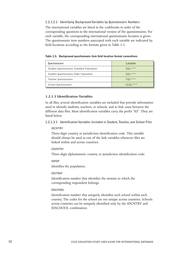**1.2.1.2.1 Identifying Background Variables by Questionnaire Numbers** The international variables are listed in the codebooks in order of the corresponding questions in the international version of the questionnaires. For each variable, the corresponding international questionnaire location is given. The questionnaire item numbers associated with each variable are indicated by field locations according to the formats given in Table 1.3.

Table 1.3: Background questionnaire item field location format conventions

| Questionnaire                              | Location    |
|--------------------------------------------|-------------|
| Student Questionnaire, Standard Population | $SQ2-***$   |
| Student Questionnaire, Older Population    | $SQ3-****$  |
| Teacher Questionnaire                      | $TQ2-***$   |
| School Questionnaire                       | $SCQ2-****$ |

#### **1.2.1.3 Identification Variables**

In all files, several identification variables are included that provide information used to identify students, teachers, or schools, and to link cases between the different data files. Most identification variables carry the prefix "ID". They are listed below.

**1.2.1.3.1 Identification Variables Included in Student, Teacher, and School Files** 

#### **IDCNTRY**

Three-digit country or jurisdiction identification code. This variable should always be used as one of the link variables whenever files are linked within and across countries.

#### **COUNTRY**

Three-digit alphanumeric country or jurisdiction identification code.

#### **IDPOP**

Identifies the population.

#### **IDSTRAT**

Identification number that identifies the stratum to which the corresponding respondent belongs.

#### **IDSCHOOL**

Identification number that uniquely identifies each school within each country. The codes for the school are not unique across countries. Schools across countries can be uniquely identified only by the IDCNTRY and IDSCHOOL combination.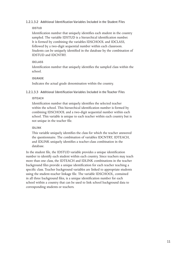## **1.2.1.3.2 Additional Identification Variables Included in the Student Files**

## **IDSTUD**

Identification number that uniquely identifies each student in the country sampled. The variable IDSTUD is a hierarchical identification number. It is formed by combining the variables IDSCHOOL and IDCLASS, followed by a two-digit sequential number within each classroom. Students can be uniquely identified in the database by the combination of IDSTUD and IDCNTRY.

## **IDCLASS**

Identification number that uniquely identifies the sampled class within the school.

## **IDGRADE**

Indicates the actual grade denomination within the country.

**1.2.1.3.3 Additional Identification Variables Included in the Teacher Files**

## **IDTEACH**

Identification number that uniquely identifies the selected teacher within the school. This hierarchical identification number is formed by combining IDSCHOOL and a two-digit sequential number within each school. This variable is unique to each teacher within each country but is not unique in the teacher file.

## **IDLINK**

This variable uniquely identifies the class for which the teacher answered the questionnaire. The combination of variables IDCNTRY, IDTEACH, and IDLINK uniquely identifies a teacher-class combination in the database.

In the student file, the IDSTUD variable provides a unique identification number to identify each student within each country. Since teachers may teach more than one class, the IDTEACH and IDLINK combinations in the teacher background files provide a unique identification for each teacher teaching a specific class. Teacher background variables are linked to appropriate students using the student-teacher linkage file. The variable IDSCHOOL, contained in all three background files, is a unique identification number for each school within a country that can be used to link school background data to corresponding students or teachers.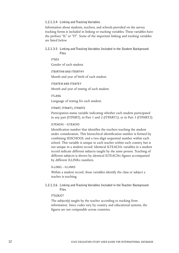#### **1.2.1.3.4 Linking and Tracking Variables**

Information about students, teachers, and schools provided on the survey tracking forms is included in linking or tracking variables. These variables have the prefixes "IL" or "IT". Some of the important linking and tracking variables are listed below.

#### **1.2.1.3.5 Linking and Tracking Variables Included in the Student Background Files**

**ITSEX**

Gender of each student.

#### **ITBIRTHM AND ITBIRTHY**

Month and year of birth of each student.

#### **ITDATEM AND ITDATEY**

Month and year of testing of each student.

#### **ITLANG**

Language of testing for each student.

#### **ITPART, ITPART1, ITPART2**

Participation status variable indicating whether each student participated in any part (ITPART), in Part 1 and 2 (ITPART1), or in Part 3 (ITPART2).

#### **ILTEACH1 – ILTEACH3**

Identification number that identifies the teachers teaching the student under consideration. This hierarchical identification number is formed by combining IDSCHOOL and a two-digit sequential number within each school. This variable is unique to each teacher within each country but is not unique in a student record. Identical ILTEACHx variables in a student record indicate different subjects taught by the same person. Teaching of different subjects is shown by identical ILTEACHx figures accompanied by different ILLINKx numbers.

#### **ILLINK1 – ILLINK3**

Within a student record, these variables identify the class or subject a teacher is teaching.

**1.2.1.3.6 Linking and Tracking Variables Included in the Teacher Background Files**

#### **ITSUBJCT**

The subject(s) taught by the teacher according to tracking form information. Since codes vary by country and educational systems, the figures are not comparable across countries.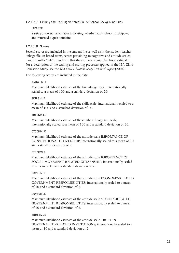## **1.2.1.3.7 Linking and Tracking Variables in the School Background Files**

## **ITPARTC**

Participation status variable indicating whether each school participated and returned a questionnaire.

## **1.2.1.3.8 Scores**

Several scores are included in the student file as well as in the student-teacher linkage file. In broad terms, scores pertaining to cognitive and attitude scales have the suffix "mle" to indicate that they are maximum likelihood estimates. For a description of the scaling and scoring processes applied in the IEA Civic Education Study, see the *IEA Civic Education Study Technical Report* (2004).

The following scores are included in the data:

## **KNOWLMLE**

Maximum likelihood estimate of the knowledge scale; internationally scaled to a mean of 100 and a standard deviation of 20.

## **SKILSMLE**

Maximum likelihood estimate of the skills scale; internationally scaled to a mean of 100 and a standard deviation of 20.

#### **TOTCGM LE**

Maximum likelihood estimate of the combined cognitive scale; internationally scaled to a mean of 100 and a standard deviation of 20.

## **CTCONMLE**

Maximum likelihood estimate of the attitude scale IMPORTANCE OF CONVENTIONAL CITIZENSHIP; internationally scaled to a mean of 10 and a standard deviation of 2.

## **CTSOCMLE**

Maximum likelihood estimate of the attitude scale IMPORTANCE OF SOCIAL-MOVEMENT-RELATED CITIZENSHIP; internationally scaled to a mean of 10 and a standard deviation of 2.

## **GOVECMLE**

Maximum likelihood estimate of the attitude scale ECONOMY-RELATED GOVERNMENT RESPONSIBILITIES; internationally scaled to a mean of 10 and a standard deviation of 2.

## **GOVSOMLE**

Maximum likelihood estimate of the attitude scale SOCIETY-RELATED GOVERNMENT RESPONSIBILITIES; internationally scaled to a mean of 10 and a standard deviation of 2.

## **TRUSTMLE**

Maximum likelihood estimate of the attitude scale TRUST IN GOVERNMENT-RELATED INSTITUTIONS; internationally scaled to a mean of 10 and a standard deviation of 2.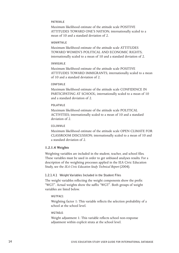#### **PATRIMLE**

Maximum likelihood estimate of the attitude scale POSITIVE ATTITUDES TOWARD ONE'S NATION; internationally scaled to a mean of 10 and a standard deviation of 2.

#### **WOMRTMLE**

Maximum likelihood estimate of the attitude scale ATTITUDES TOWARD WOMEN'S POLITICAL AND ECONOMIC RIGHTS; internationally scaled to a mean of 10 and a standard deviation of 2.

#### **IMMIGMLE**

Maximum likelihood estimate of the attitude scale POSITIVE ATTITUDES TOWARD IMMIGRANTS; internationally scaled to a mean of 10 and a standard deviation of 2.

#### **CONFSMLE**

Maximum likelihood estimate of the attitude scale CONFIDENCE IN PARTICIPATING AT SCHOOL; internationally scaled to a mean of 10 and a standard deviation of 2.

## **POLATMLE**

Maximum likelihood estimate of the attitude scale POLITICAL ACTIVITIES; internationally scaled to a mean of 10 and a standard deviation of 2.

#### **CCLIMMLE**

Maximum likelihood estimate of the attitude scale OPEN CLIMATE FOR CLASSROOM DISCUSSION; internationally scaled to a mean of 10 and a standard deviation of 2.

#### **1.2.1.4 Weights**

Weighting variables are included in the student, teacher, and school files. These variables must be used in order to get unbiased analyses results. For a description of the weighting processes applied in the IEA Civic Education Study, see the *IEA Civic Education Study Technical Report* (2004).

#### **1.2.1.4.1 Weight Variables Included in the Student Files**

The weight variables reflecting the weight components show the prefix "WGT". Actual weights show the suffix "WGT". Both groups of weight variables are listed below.

#### **WGTFAC1**

Weighting factor 1: This variable reflects the selection probability of a school at the school level.

#### **WGTADJ1**

Weight adjustment 1: This variable reflects school non-response adjustment within explicit strata at the school level.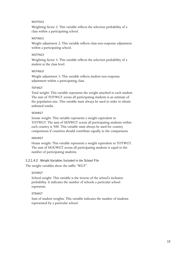#### **WGTFAC2**

Weighting factor 2: This variable reflects the selection probability of a class within a participating school.

#### **WGTADJ1**

Weight adjustment 2: This variable reflects class non-response adjustment within a participating school.

#### **WGTFAC3**

Weighting factor 3: This variable reflects the selection probability of a student at the class level.

## **WGTADJ3**

Weight adjustment 3: This variable reflects student non-response adjustment within a participating class.

## **TOTWGT**

Total weight: This variable represents the weight attached to each student. The sum of TOTWGT across all participating students is an estimate of the population size. This variable must always be used in order to obtain unbiased results.

#### **SENWGT**

Senate weight: This variable represents a weight equivalent to TOTWGT. The sum of SENWGT across all participating students within each country is 500. This variable must always be used for country comparisons if countries should contribute equally to the comparisons.

## **HOUWGT**

House weight: This variable represents a weight equivalent to TOTWGT. The sum of HOUWGT across all participating students is equal to the number of participating students.

**1.2.1.4.2 Weight Variables Included in the School File**

The weight variables show the suffix "WGT".

## **SCHWGT**

School weight: This variable is the inverse of the school's inclusion probability. It indicates the number of schools a particular school represents.

## **STDWGT**

Sum of student weights: This variable indicates the number of students represented by a particular school.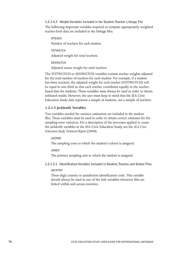## **1.2.1.4.3 Weight Variables Included in the Student-Teacher Linkage File** The following important variables required to compute appropriately weighted teacher-level data are included in the linkage files.

#### **NTEACH**

Number of teachers for each student.

**TOTWGTCH**

Adjusted weight for total teachers.

**SENWGTCH**

Adjusted senate weight for total teachers.

The TOTWGTCH or SENWGTCH variables contain teacher weights adjusted for the total number of teachers for each student. For example, if a student has three teachers, the adjusted weight for each teacher (TOTWGTCH) will be equal to one-third so that each teacher contributes equally to the teacherbased data for students. These variables must always be used in order to obtain unbiased results. However, the user must keep in mind that the IEA Civic Education Study data represent a sample of students, not a sample of teachers.

## **1.2.1.5 Jackknife Variables**

Two variables needed for variance estimation are included in the student files. These variables must be used in order to obtain correct estimates for the sampling error variances. For a description of the processes applied to create the jackknife variables in the IEA Civic Education Study, see the *IEA Civic Education Study Technical Report* (2004).

#### **JKZONE**

The sampling zone to which the student's school is assigned.

**JKREP**

The primary sampling unit to which the student is assigned.

**1.2.1.5.1 Identification Variables Included in Student, Teacher, and School Files**

## **IDCNTRY**

Three-digit country or jurisdiction identification code. This variable should always be used as one of the link variables whenever files are linked within and across countries.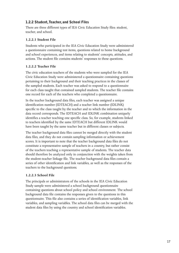## 1.2.2 Student, Teacher, and School Files

There are three different types of IEA Civic Education Study files: student, teacher, and school.

## **1.2.2.1 Student File**

Students who participated in the IEA Civic Education Study were administered a questionnaire containing test items, questions related to home background and school experiences, and items relating to students' concepts, attitudes, and actions. The student file contains students' responses to these questions.

## **1.2.2.2 Teacher File**

The civic education teachers of the students who were sampled for the IEA Civic Education Study were administered a questionnaire containing questions pertaining to their background and their teaching practices in the classes of the sampled students. Each teacher was asked to respond to a questionnaire for each class taught that contained sampled students. The teacher file contains one record for each of the teachers who completed a questionnaire.

In the teacher background data files, each teacher was assigned a unique identification number (IDTEACH) and a teacher link number (IDLINK) specific to the class taught by the teacher and to which the information in the data record corresponds. The IDTEACH and IDLINK combination uniquely identifies a teacher teaching one specific class. So, for example, students linked to teachers identified by the same IDTEACH but different IDLINK would have been taught by the same teacher but in different classes or subjects.

The teacher background data files cannot be merged directly with the student data files, and they do not contain sampling information or achievement scores. It is important to note that the teacher background data files do not constitute a representative sample of teachers in a country, but rather consist of the teachers teaching a representative sample of students. The teacher data should therefore be analyzed only in conjunction with the weights taken from the student-teacher linkage file. The teacher background data files contain a series of other identification and link variables, as well as the responses of the teachers to the background questions.

## **1.2.2.3 School File**

The principals or administrators of the schools in the IEA Civic Education Study sample were administered a school background questionnaire containing questions about school policy and school environment. The school background data file contains the responses given to the questions in this questionnaire. This file also contains a series of identification variables, link variables, and sampling variables. The school data files can be merged with the student data files by using the country and school identification variables.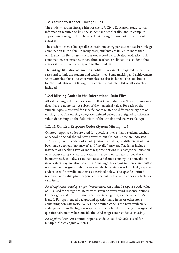## 1.2.3 Student-Teacher Linkage Files

The student-teacher linkage files for the IEA Civic Education Study contain information required to link the student and teacher files and to compute appropriately weighted teacher-level data using the student as the unit of analysis.

The student-teacher linkage files contain one entry per student-teacher linkage combination in the data. In many cases, students are linked to more than one teacher. In these cases, there is one record for each student-teacher link combination. For instance, where three teachers are linked to a student, three entries in the file will correspond to that student.

The linkage files also contain the identification variables required to identify cases and to link the student and teacher files. Some tracking and achievement score variables plus all teacher variables are also included. The codebooks for the student-teacher linkage files contain a complete list of all variables included.

## 1.2.4 Missing Codes in the International Data Files

All values assigned to variables in the IEA Civic Education Study international data files are numerical. A subset of the numerical values for each of the variable types is reserved for specific codes related to different categories of missing data. The missing categories defined below are assigned to different values depending on the field width of the variable and the variable type.

#### **1.2.4.1 Omitted Response Codes (System Missing, … )**

Omitted response codes are used for questions/items that a student, teacher, or school principal should have answered but did not. These are indicated as "missing" in the codebooks. For questionnaire data, no differentiation has been made between "no answer" and "invalid" answers. The latter include instances of checking two or more response options in a categorical question or responses to open-ended questions that were unreadable or could not be interpreted. In a few cases, data received from a country in an invalid or inconsistent way are also recoded as "missing". For cognitive items, an omitted response code is given only in cases in which the item was left blank; a special code is used for invalid answers as described below. The specific omitted response code value given depends on the number of valid codes available for each item.

*For identification, tracking, or questionnaire items:* An omitted response code value of 9 is used for categorical items with seven or fewer valid response options. For categorical items with more than seven categories, a code value of 99 is used. For open-ended background questionnaire items or other items containing non-categorical values, the omitted code is the next available 9\* code greater than the highest response in the defined valid range. Background questionnaire item values outside the valid ranges are recoded as missing.

*For cognitive items:* An omitted response code value (SYSMIS) is used for multiple-choice cognitive items.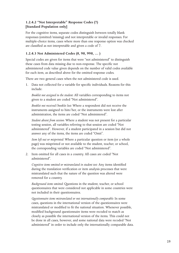## **1.2.4.2 "Not Interpretable" Response Codes (7) [Standard Population only]**

For the cognitive items, separate codes distinguish between totally blank responses (omitted/missing) and not interpretable or invalid responses. For multiple-choice items, cases where more than one response option was checked are classified as not interpretable and given a code of 7.

## **1.2.4.3 Not Administered Codes (8, 98, 998, … )**

Special codes are given for items that were "not administered" to distinguish these cases from data missing due to non-response. The specific not administered code value given depends on the number of valid codes available for each item, as described above for the omitted response codes.

There are two general cases when the not administered code is used.

1. Data not collected for a variable for specific individuals. Reasons for this include:

*Booklet not assigned to the student:* All variables corresponding to items not given to a student are coded "Not administered".

*Booklet not received/booklet lost:* Where a respondent did not receive the instruments assigned to him/her, or the instruments were lost after administration, the items are coded "Not administered".

*Student absent from session:* Where a student was not present for a particular testing session, all variables referring to that session are coded "Not administered". However, if a student participated in a session but did not answer any of the items, the items are coded "Omit".

*Item left out or misprinted:* Where a particular question or item (or a whole page) was misprinted or not available to the student, teacher, or school, the corresponding variables are coded "Not administered".

2. Item omitted for all cases in a country. All cases are coded "Not administered".

*Cognitive items omitted or mistranslated in student test:* Any items identified during the translation verification or item analysis processes that were mistranslated such that the nature of the question was altered were removed for a country.

*Background items omitted:* Questions in the student, teacher, or school questionnaires that were considered not applicable in some countries were not included in their questionnaires.

*Questionnaire items mistranslated or not internationally comparable:* In some cases, questions in the international version of the questionnaires were mistranslated or modified to fit the national situation. Whenever possible, modified background questionnaire items were recoded to match as closely as possible the international version of the items. This could not be done in all cases, however, and some national data were recoded "Not administered" in order to include only the internationally comparable data.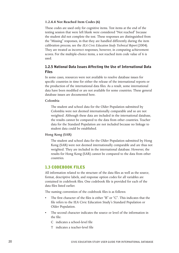## **1.2.4.4 Not Reached Item Codes (6)**

These codes are used only for cognitive items. Test items at the end of the testing session that were left blank were considered "Not reached" because the student did not complete the test. These responses are distinguished from the "Missing" responses, in that they are handled differently during the item calibration process; see the *IEA Civic Education Study Technical Report* (2004). They are treated as incorrect responses, however, in computing achievement scores. For the multiple-choice items, a not reached item code value of 6 is used.

## 1.2.5 National Data Issues Affecting the Use of International Data Files

In some cases, resources were not available to resolve database issues for specific countries in time for either the release of the international reports or the production of the international data files. As a result, some international data have been modified or are not available for some countries. These general database issues are documented here.

#### **Colombia**

The student and school data for the Older Population submitted by Colombia were not deemed internationally comparable and so are not weighted. Although these data are included in the international database, the results cannot be compared to the data from other countries. Teacher data for the Standard Population are not included because no linkage to student data could be established.

## **Hong Kong (SAR)**

The student and school data for the Older Population submitted by Hong Kong (SAR) were not deemed internationally comparable and are thus not weighted. They are included in the international database. However, the results for Hong Kong (SAR) cannot be compared to the data from other countries.

## 1.3 CODEBOOK FILES

All information related to the structure of the data files as well as the source, format, descriptive labels, and response option codes for all variables are contained in codebook files. One codebook file is provided for each of the data files listed earlier.

The naming convention of the codebook files is as follows:

- The first character of the files is either "B" or "C". This indicates that the file refers to the IEA Civic Education Study's Standard Population or Older Population.
- The second character indicates the source or level of the information in the file:
	- C indicates a school-level file
	- T indicates a teacher-level file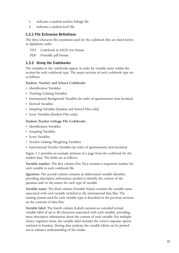- L indicates a student-teacher linkage file
- S indicates a student-level file.

## 1.3.1 File Extension Definitions

The three-character file extensions used for the codebook files are listed below in alphabetic order:

.TXT Codebook in ASCII text format

.PDF Printable pdf format.

## 1.3.2 Using the Codebooks

The variables in the codebooks appear in order by variable name within the section for each codebook type. The major sections of each codebook type are as follows:

## **Student, Teacher, and School Codebooks**

- Identification Variables
- Tracking/Linking Variables
- International Background Variables (in order of questionnaire item location)
- Derived Variables
- Sampling Variables (Student and School Files only)
- Score Variables (Student Files only).

## **Student-Teacher Linkage File Codebooks**

- Identification Variables
- Sampling Variables
- Score Variables
- Teacher Linking/Weighting Variables
- International Teacher Variables (in order of questionnaire item location).

Figure 1.1 provides an example printout of a page from the codebook for the student data. The fields are as follows:

**Variable number:** The first column (Var. No.) contains a sequential number for each variable in each codebook file.

**Question:** The second column contains an abbreviated variable identifier providing descriptive information needed to identify the content of the question and/or the source for each type of variable.

**Variable name:** The third column (Variable Name) contains the variable name associated with each variable included in the international data files. The naming system used for each variable type is described in the previous sections on the contents of data files.

**Variable label:** The fourth column (Label) contains an extended textual variable label of up to 40 characters associated with each variable, providing more descriptive information about the content of each variable. For multiplechoice cognitive items, the variable label includes the correct response option enclosed in brackets. During data analysis, the variable labels can be printed out to enhance understanding of the results.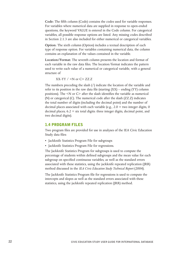**Code:** The fifth column (Code) contains the codes used for variable responses. For variables where numerical data are supplied in response to open-ended questions, the keyword VALUE is entered in the Code column. For categorical variables, all possible response options are listed. Any missing codes described in Section 2.1.3 are also included for either numerical or categorical variables.

**Option:** The sixth column (Option) includes a textual description of each type of response option. For variables containing numerical data, the column contains an explanation of the values contained in the variable.

**Location/Format:** The seventh column presents the location and format of each variable in the raw data files. The location/format indicates the pattern used to write each value of a numerical or categorical variable, with a general structure of

 $XX-YY$  /  $\leq N$  or  $C > ZZ.Z$ 

The numbers preceding the slash (/) indicate the location of the variable and refer to its position in the raw data file (starting  $(XX)$  – ending  $(YY)$  column positions). The <N or C> after the slash identifies the variable as numerical (N) or categorical (C). The numerical code after the slash (ZZ.Z) indicates the total number of digits (including the decimal point) and the number of decimal places associated with each variable (e.g.,  $2.0 =$  two integer digits, 0 decimal places;  $6.2 = \text{six total digits:}$  three integer digits, decimal point, and two decimal digits).

## 1.4 PROGRAM FILES

Two program files are provided for use in analyses of the IEA Civic Education Study data files:

- Jackknife Statistics Program File for subgroups
- Jackknife Statistics Program File for regressions.

The Jackknife Statistics Program for subgroups is used to compute the percentage of students within defined subgroups and the mean value for each subgroup on specified continuous variables, as well as the standard errors associated with these statistics, using the jackknife repeated replication (JRR) method discussed in the *IEA Civic Education Study Technical Report* (2004).

The Jackknife Statistics Program file for regressions is used to compute the intercepts and slopes as well as the standard errors associated with these statistics, using the jackknife repeated replication (JRR) method.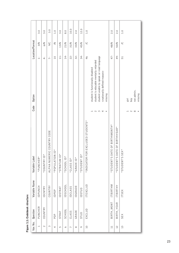|                 | 3.0                            | 3.0                   | 3.0                            | $\overline{1}.0$ | 3.0          | $\frac{0}{8}$   | 10.0           | 2.0        | 12.0                 | 0.1                               |                                                                                                                                                                         | 2.0                                | 2.0                              | 0.1                            |               |                 |            |         |
|-----------------|--------------------------------|-----------------------|--------------------------------|------------------|--------------|-----------------|----------------|------------|----------------------|-----------------------------------|-------------------------------------------------------------------------------------------------------------------------------------------------------------------------|------------------------------------|----------------------------------|--------------------------------|---------------|-----------------|------------|---------|
| Location/Format | 3/N                            | $\frac{6}{N}$         | <b>D/6</b>                     | $\leq$           | 13/N         | 21/N            | 31/N           | 33/N       | 45/N                 | $\leq$                            |                                                                                                                                                                         | 48/N                               | 50/N                             | $\leq$                         |               |                 |            |         |
|                 | $\overset{1}{\rightharpoonup}$ | $\frac{1}{4}$         | $\bar{z}$                      | $\overline{10}$  | É            | $14-$           | $22 -$         | $32 -$     | $34 -$               | 46                                | student unable to speak or read language<br>student is educable mentally retarded<br>student is functionally disabled<br><nationally defined="" reason=""></nationally> | 47-                                | $49 -$                           | 51                             |               |                 |            |         |
| Option          |                                |                       |                                |                  |              |                 |                |            |                      |                                   | missing                                                                                                                                                                 |                                    |                                  |                                | $\frac{1}{2}$ | yoq             | not admin. | missing |
| Code            |                                |                       |                                |                  |              |                 |                |            |                      |                                   | $\sim$ $\sim$<br>4                                                                                                                                                      |                                    |                                  |                                |               | $\sim$ $\infty$ |            |         |
| Variable Label  | *PUNCHER*                      | $\ast$<br>*COUNTRY ID | RIC COUNTRY CODE<br>ALPHA NUME | *POPULATION ID*  | *STRATUM ID* | *SCHOOL ID*     | *CLASS ID*     | *GRADE ID* | $\ast$<br>*STUDENTID | *INDICATOR FOR EXCLUDED STUDENTS* |                                                                                                                                                                         | DATE OF BIRTH\MONTH*<br>*STUDENT'S | DATE OF BIRTH\YEAR*<br>STUDENT'S | SEX <sup>*</sup><br>*STUDENT'S |               |                 |            |         |
| Variable Name   | IDPUNCH                        | IDCNTRY               | COUNTRY                        | IDPOP            | IDSTRAT      | <b>IDSCHOOL</b> | <b>IDCLASS</b> | IDGRADE    | IDSTUD               | ITEXCLUD                          |                                                                                                                                                                         | ITBIRTHM                           | ITBIRTHY                         | ITSEX                          |               |                 |            |         |
| Question        | PUNCHER                        | COUNTRY               |                                | PO <sub>P</sub>  | STRAT        | SCHOOL          | CLASS          | GRADE      | <b>GLND</b>          | EXCLUD                            |                                                                                                                                                                         | BIRTH_MONT                         | BIRTH_YEAR                       | SEX                            |               |                 |            |         |
| Var. No.        | $\overline{\phantom{0}}$       | $\sim$                | $\sim$                         | 4                | 5            | ◡               | $\overline{ }$ | $\infty$   | $\sigma$             | $\overline{0}$                    |                                                                                                                                                                         | $\Box$                             | $\overline{12}$                  | 13                             |               |                 |            |         |

| ۱<br>ï<br>$\frac{1}{2}$<br>I<br>i<br>١ |
|----------------------------------------|
| ı<br>٠<br>J.<br>¢                      |
| ü<br>r<br>ı<br>۱<br>۱<br>l             |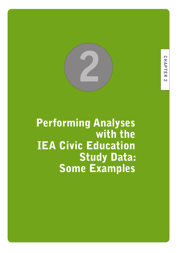

Performing Analyses with the IEA Civic Education Study Data: Some Examples

**24 CIVIC EDUCATION STUDY USER GUIDE FOR INTERNATIONAL DATABASE**

**CHAPTER**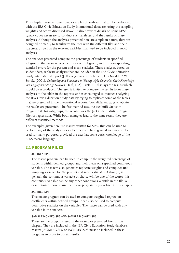This chapter presents some basic examples of analyses that can be performed with the IEA Civic Education Study international database, using the sampling weights and scores discussed above. It also provides details on some SPSS syntax codes necessary to conduct such analyses, and the results of these analyses. Although the analyses presented here are simple in nature, they are designed primarily to familiarize the user with the different files and their structure, as well as the relevant variables that need to be included in most analyses.

The analyses presented compute the percentage of students in specified subgroups, the mean achievement for each subgroup, and the corresponding standard errors for the percent and mean statistics. These analyses, based on student data, replicate analyses that are included in the IEA Civic Education Study international report (J. Torney-Purta, R. Lehmann, H. Oswald, & W. Schulz (2001), *Citizenship and Education in Twenty-eight Countries: Civic Knowledge and Engagement at Age Fourteen*, Delft, IEA). Table 2.1 displays the results which should be reproduced. The user is invited to compare the results from these analyses to the tables in the reports, and is encouraged to practice analyzing the IEA Civic Education Study data by trying to replicate some of the tables that are presented in the international reports. Two different ways to obtain the results are presented. The first method uses the Jackknife Statistics Program File for subgroups; the second uses the Jackknife Statistics Program File for regressions. While both examples lead to the same result, they use different statistical methods.

The examples given here use macros written for SPSS that can be used to perform any of the analyses described below. These general routines can be used for many purposes, provided the user has some basic knowledge of the SPSS macro language.

## 2.1 PROGRAM FILES

#### **JACKGEN.SPS**

The macro program can be used to compute the weighted percentage of students within defined groups, and their mean on a specified continuous variable. The macro also generates replicate weights and computes JRR sampling variance for the percent and mean estimates. Although, in general, the continuous variable of choice will be one of the scores, this continuous variable can be any other continuous variable in the file. A description of how to use the macro program is given later in this chapter.

#### **JACKREG.SPS**

This macro program can be used to compute weighted regression coefficients within defined groups. It can also be used to compute descriptive statistics on the variables. The macro can be used with any variable in the analysis.

#### **SAMPLEJACKREG.SPS AND SAMPLEJACKGEN.SPS**

These are the programs used in the examples presented later in this chapter. They are included in the IEA Civic Education Study database. Macros JACKREG.SPS or JACKREG.SPS must be included in these programs in order to obtain results.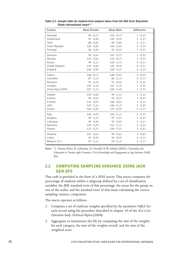| Country         | Mean Female |          | Mean Male |           | <b>Difference</b> |
|-----------------|-------------|----------|-----------|-----------|-------------------|
| Denmark         |             | 99 (0,7) |           | 102(0,7)  | 3(1,0)            |
| Switzerland     |             | 97 (0,8) |           | 100(0,9)  | 2(1,2)            |
| Chile           |             | 88 (0,8) |           | 89 (0,8)  | 2(1,1)            |
| Czech Republic  | 102(0,8)    |          |           | 104(1,0)  | 2(1,3)            |
| Portugal        |             | 96 (0,8) |           | 97 (0,9)  | 1(1,2)            |
| Germany         |             | 99 (0,6) |           | 101 (0,7) | 1(0,9)            |
| Norway          | 103(0,6)    |          |           | 103(0,7)  | 1(0,9)            |
| Russia          |             | 99 (1,2) |           | 100(1,7)  | 0(2,1)            |
| Slovak Republic | 105(0,8)    |          |           | 105(0,9)  | 0(1,1)            |
| England         | 100(0,8)    |          |           | 100(1,0)  | 0(1,3)            |
| Cyprus          | 108(0,7)    |          |           | 108(0,6)  | 0(0,9)            |
| Colombia        |             | 87(1,3)  |           | 86 (1,1)  | 0(1,7)            |
| Romania         |             | 92 (1,0) |           | 91 (0,9)  | 0(1,4)            |
| Hungary         | 102(1,3)    |          |           | 101(1,3)  | 1(1,9)            |
| Hong Kong (SAR) | 107(1,3)    |          |           | 106(1,4)  | 1(1,9)            |
| Sweden          | 100(0,8)    |          |           | 99 (1,1)  | 1(1,3)            |
| Estonia         |             | 95(0,6)  |           | 93 (0,7)  | 1(0,9)            |
| Finland         | 110(0,9)    |          |           | 108(0,8)  | 2(1,2)            |
| USA             | 107(1,2)    |          |           | 106(1,3)  | 2(1,8)            |
| Greece          | 109(0,8)    |          |           | 107(0,9)  | 2(1,2)            |
| Italy           | 106(0,9)    |          |           | 104(1,1)  | 2(1,4)            |
| Bulgaria        |             | 99 (1,5) |           | 97 (1,2)  | 2(2,0)            |
| Lithuania       |             | 95 (0,8) |           | 92 (0,8)  | 2(1,1)            |
| Australia       | 103(0,9)    |          |           | 101(1,1)  | 2(1,4)            |
| Poland          | 112 (2,2)   |          |           | 109(1,5)  | 3(2,6)            |
| Slovenia        | 102(0,6)    |          |           | 99 (0,6)  | 4(0,8)            |
| Latvia          |             | 93 (0,9) |           | 90(0,9)   | 4 $(1,3)$         |
| Belgium (Fr.)   |             | 97 (1,1) |           | 93 (1,3)  | 5(1,7)            |

Table 2.1: Sample table for student-level analysis taken from the IEA Civic Education Study international report \*

**Note:** \* J. Torney-Purta, R. Lehmann, H. Oswald, & W. Schulz (2001), *Citizenship and Education in Twenty-eight Countries: Civic Knowledge and Engagement at Age Fourteen*, Delft, IEA.

## 2.2 COMPUTING SAMPLING VARIANCE USING JACK GEN.SPS

This code is provided in the form of a SPSS macro. This macro computes the percentage of students within a subgroup defined by a set of classification variables, the JRR standard error of this percentage, the mean for the group on one of the scales, and the standard error of that mean calculating the correct sampling variance component.

The macro operates as follows:

- 1. Computes a set of replicate weights specified by the parameter NJKZ for each record using the procedure described in chapter 10 of the *IEA Civic Education Study Technical Report* (2004).
- 2. Aggregates or summarizes the file by computing the sum of the weights for each category, the sum of the weights overall, and the sum of the weighted score.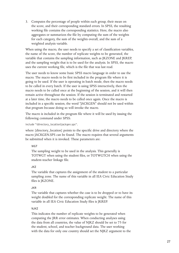3. Computes the percentage of people within each group, their mean on the score, and their corresponding standard errors. In SPSS, the resulting working file contains the corresponding statistics. Here, the macro also aggregates or summarizes the file by computing the sum of the weights for each category, the sum of the weights overall, and the sum of a weighted analysis variable.

When using the macro, the user needs to specify a set of classification variables, the name of the score, the number of replicate weights to be generated, the variable that contains the sampling information, such as JKZONE and JKREP, and the sampling weight that is to be used for the analysis. In SPSS, the macro uses the current working file, which is the file that was last read.

The user needs to know some basic SPSS macro language in order to use the macro. The macro needs to be first included in the program file where it is going to be used. If the user is operating in batch mode, then the macro needs to be called in every batch. If the user is using SPSS interactively, then the macro needs to be called once at the beginning of the session, and it will then remain active throughout the session. If the session is terminated and restarted at a later time, the macro needs to be called once again. Once the macro is included in a specific session, the word "JACKGEN" should not be used within that program because doing so will invoke the macro.

The macro is included in the program file where it will be used by issuing the following command under SPSS:

include "{directory\_location}jackgen.sps".

where {directory\_location} points to the specific drive and directory where the macro JACKGEN.SPS can be found. The macro requires that several arguments be submitted when it is invoked. These parameters are:

**WGT**

The sampling weight to be used in the analysis. This generally is TOTWGT when using the student files, or TOTWGTCH when using the student-teacher linkage file.

## **JKZ**

The variable that captures the assignment of the student to a particular sampling zone. The name of this variable in all IEA Civic Education Study files is JKZONE.

## **JKR**

The variable that captures whether the case is to be dropped or to have its weight doubled for the corresponding replicate weight. The name of this variable in all IEA Civic Education Study files is JKREP.

## **NJKZ**

This indicates the number of replicate weights to be generated when computing the JRR error estimates. When conducting analyses using the data from all countries, the value of NJKZ should be set to 75 for the student, school, and teacher background data. The user working with the data for only one country should set the NJKZ argument to the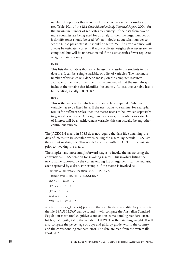number of replicates that were used in the country under consideration (see Table 10.1 of the *IEA Civic Education Study Technical Report*, 2004, for the maximum number of replicates by country). If the data from two or more countries are being used for an analysis, then the larger number of jackknife zones should be used. When in doubt about what number to set the NJKZ parameter at, it should be set to 75. The error variance will always be estimated correctly if more replicate weights than necessary are computed, but will be underestimated if the user specifies fewer replicate weights than necessary.

#### **CVAR**

This lists the variables that are to be used to classify the students in the data file. It can be a single variable, or a list of variables. The maximum number of variables will depend mostly on the computer resources available to the user at the time. It is recommended that the user always includes the variable that identifies the country. At least one variable has to be specified, usually IDCNTRY.

#### **DVAR**

This is the variable for which means are to be computed. Only one variable has to be listed here. If the user wants to examine, for example, results for different scales, then the macro needs to be invoked separately to generate each table. Although, in most cases, the continuous variable of interest will be an achievement variable, this can actually be any other continuous variable.

The JACKGEN macro in SPSS does not require the data file containing the data of interest to be specified when calling the macro. By default, SPSS uses the current working file. This needs to be read with the GET FILE command prior to invoking the macro.

The simplest and most straightforward way is to invoke the macro using the conventional SPSS notation for invoking macros. This involves listing the macro name followed by the corresponding list of arguments for the analysis, each separated by a slash. For example, if the macro is invoked as

```
get file = "{directory_location}BSAUSF2.SAV".
 jackgen cvar = IDCNTRY BSGGEND /
dvar = TOTCGMLE/ikz = JKZONE /ikr = JKREF/nikz = 75 /WGT = TOTWGT / .
```
where {directory\_location} points to the specific drive and directory to where the file BSAUSF2.SAV can be found, it will compute the Australian Standard Population mean total cognitive score, and its corresponding standard error, for boys and girls, using the variable TOTWGT as the sampling weight. It will also compute the percentage of boys and girls, by grade, within the country, and the corresponding standard error. The data are read from the system file BSAUSF2.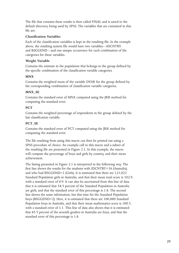The file that contains these results is then called FINAL and is saved to the default directory being used by SPSS. The variables that are contained in this file are:

## **Classification Variables**

Each of the classification variables is kept in the resulting file. In the example above, the resulting system file would have two variables—IDCNTRY and BSGGEND—and one unique occurrence for each combination of the categories for these variables.

## **Weight Variable**

Contains the estimate in the population that belongs to the group defined by the specific combination of the classification variable categories.

## **MNX**

Contains the weighted mean of the variable DVAR for the group defined by the corresponding combination of classification variable categories.

## **MNX\_SE**

Contains the standard error of MNX computed using the JRR method for computing the standard error.

## **PCT**

Contains the weighted percentage of respondents in the group defined by the last classification variable.

## **PCT\_SE**

Contains the standard error of PCT computed using the JRR method for computing the standard error.

The file resulting from using this macro can then be printed out using a SPSS procedure of choice. An example call to this macro and a subset of the resulting file are presented in Figure 2.1. In this example, the macro will compute the percentage of boys and girls by country, and their mean achievement.

The listing presented in Figure 2.1 is interpreted in the following way. The first line shows the results for the students with IDCNTRY=36 (Australia), and who had BSGGEND=1 (Girls). It is estimated that there are 121,022 Standard Population girls in Australia, and that their mean total score is 102.9, with a standard error of 0.9. It can also be ascertained from this line of data that it is estimated that 54.5 percent of the Standard Population in Australia are girls, and that the standard error of this percentage is 1.8. The second line shows the same information, but this time for the Standard Population boys (BSGGEND=2). Here, it is estimated that there are 100,880 Standard Population boys in Australia, and that their mean mathematics score is 100.5, with a standard error of 1.1. This line of data also shows that it is estimated that 45.5 percent of the seventh graders in Australia are boys, and that the standard error of this percentage is 1.8.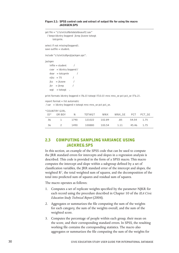#### Figure 2.1: SPSS control code and extract of output file for using the macro JACKGEN.SPS

get file = "z:\civic\cd\bs\data\bsausf2.sav" / keep=idcntry bsggend jkrep jkzone totwgt totcgmle. select if not missing(bsggend). save outfile  $=$  student. include "z:\civic\cd\prg\jackgen.sps". jackgen  $infile = student$  /  $cvar = identry$  bsggend /  $dvar = totcgmle$  /  $njkz = 75$  /  $jkz = ikzone$  /  $ikr = jkrep$  /  $wgt = totwgt$ .

print formats idcntry bsggend n (f6.0) totwgt (f10.0) mnx mnx\_se pct pct\_se (F6.2).

```
report format = list automatic
```
/  $var = id$ chtry bsggend n totwgt mnx mnx se pct pct se.

#### \*COUNTRY GIRL

| $ID^*$ | OR BOY        | <sup>N</sup> | TOTWGT | MNX    | MNX SE |       | PCT PCT SE |
|--------|---------------|--------------|--------|--------|--------|-------|------------|
| 36     | $\mathbf{I}$  | 1790         | 121022 | 102.89 | .85    | 54.54 | 1.75       |
| 36     | $\mathcal{L}$ | 1490         | 100880 | 100.54 | 1.11   | 45.46 | 1.75       |

## 2.3 COMPUTING SAMPLING VARIANCE USING JACKREG.SPS

In this section, an example of the SPSS code that can be used to compute the JRR standard errors for intercepts and slopes in a regression analysis is described. This code is provided in the form of a SPSS macro. This macro computes the intercept and slope within a subgroup defined by a set of classification variables, the JRR standard error of the intercept and slopes, the weighted  $\mathbb{R}^2$ , the total weighted sum of squares, and the decomposition of the total into predicted sum of squares and residual sum of squares.

The macro operates as follows:

- 1. Computes a set of replicate weights specified by the parameter NJKR for each record using the procedure described in Chapter 10 of the *IEA Civic Education Study Technical Report* (2004).
- 2. Aggregates or summarizes the file computing the sum of the weights for each category, the sum of the weights overall, and the sum of the weighted score.
- 3. Computes the percentage of people within each group, their mean on the score, and their corresponding standard errors. In SPSS, the resulting working file contains the corresponding statistics. The macro also aggregates or summarizes the file computing the sum of the weights for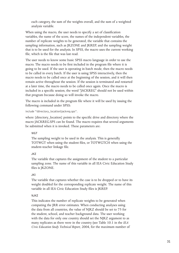each category, the sum of the weights overall, and the sum of a weighted analysis variable.

When using the macro, the user needs to specify a set of classification variables, the name of the score, the names of the independent variables, the number of replicate weights to be generated, the variable that contains the sampling information, such as JKZONE and JKREP, and the sampling weight that is to be used for the analysis. In SPSS, the macro uses the current working file, which is the file that was last read.

The user needs to know some basic SPSS macro language in order to use the macro. The macro needs to be first included in the program file where it is going to be used. If the user is operating in batch mode, then the macro needs to be called in every batch. If the user is using SPSS interactively, then the macro needs to be called once at the beginning of the session, and it will then remain active throughout the session. If the session is terminated and restarted at a later time, the macro needs to be called once again. Once the macro is included in a specific session, the word "JACKREG" should not be used within that program because doing so will invoke the macro.

The macro is included in the program file where it will be used by issuing the following command under SPSS:

#### include "{directory\_location}jackreg.sps".

where {directory\_location} points to the specific drive and directory where the macro JACKREG.SPS can be found. The macro requires that several arguments be submitted when it is invoked. These parameters are:

## **WGT**

The sampling weight to be used in the analysis. This is generally TOTWGT when using the student files, or TOTWGTCH when using the student-teacher linkage file.

## **JKZ**

The variable that captures the assignment of the student to a particular sampling zone. The name of this variable in all IEA Civic Education Study files is JKZONE.

## **JKI**

The variable that captures whether the case is to be dropped or to have its weight doubled for the corresponding replicate weight. The name of this variable in all IEA Civic Education Study files is JKREP.

## **NJKZ**

This indicates the number of replicate weights to be generated when computing the JRR error estimates. When conducting analyses using the data from all countries, the value of NJKZ should be set to 75 for the student, school, and teacher background data. The user working with the data for only one country should set the NJKZ argument to as many replicates as there were in the country (see Table 10.1 in the *IEA Civic Education Study Technical Report*, 2004, for the maximum number of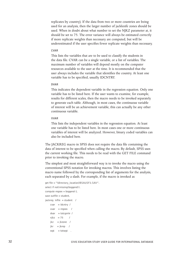replicates by country). If the data from two or more countries are being used for an analysis, then the larger number of jackknife zones should be used. When in doubt about what number to set the NJKZ parameter at, it should be set to 75. The error variance will always be estimated correctly if more replicate weights than necessary are computed, but will be underestimated if the user specifies fewer replicate weights than necessary.

#### **CVAR**

This lists the variables that are to be used to classify the students in the data file. CVAR can be a single variable, or a list of variables. The maximum number of variables will depend mostly on the computer resources available to the user at the time. It is recommended that the user always includes the variable that identifies the country. At least one variable has to be specified, usually IDCNTRY.

#### **DVAR**

This indicates the dependent variable in the regression equation. Only one variable has to be listed here. If the user wants to examine, for example, results for different scales, then the macro needs to be invoked separately to generate each table. Although, in most cases, the continuous variable of interest will be an achievement variable, this can actually be any other continuous variable.

#### **XVAR**

This lists the independent variables in the regression equation. At least one variable has to be listed here. In most cases one or more continuous variables of interest will be analyzed. However, binary coded variables can also be included here.

The JACKREG macro in SPSS does not require the data file containing the data of interest to be specified when calling the macro. By default, SPSS uses the current working file. This needs to be read with the GET FILE command prior to invoking the macro.

The simplest and most straightforward way is to invoke the macro using the conventional SPSS notation for invoking macros. This involves listing the macro name followed by the corresponding list of arguments for the analysis, each separated by a slash. For example, if the macro is invoked as

```
get file = "{directory_location}BSAUSF2.SAV".
select if not(missing(bsggend)).
compute regsex = bsggend-1.
save outfile = student.
jackreg infile = student /
   cvar = identry /xvar = regsex /dvar = totcgmle /
    njkz = 75 /jkz = jkzone / jikr = ikrep /
    wgt = totwgt.
```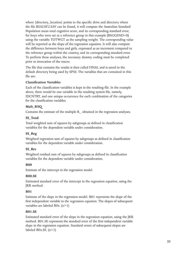where {directory\_location} points to the specific drive and directory where the file BSAUSF2.SAV can be found, it will compute the Australian Standard Population mean total cognitive score, and its corresponding standard error, for boys who were set as a reference group in this example (BSGGEND=0) using the variable TOTWGT as the sampling weight. The corresponding value will be reported as the slope of the regression equation. It will also compute the difference between boys and girls, expressed as an increment compared to the reference group within the country, and its corresponding standard error. To perform these analyses, the necessary dummy coding must be completed prior to invocation of the macro.

The file that contains the results is then called FINAL and is saved to the default directory being used by SPSS. The variables that are contained in this file are:

## **Classification Variables**

Each of the classification variables is kept in the resulting file. In the example above, there would be one variable in the resulting system file, namely, IDCNTRY, and one unique occurrence for each combination of the categories for the classification variables.

## **Mult\_RSQ**

Contains the estimate of the multiple R\_ obtained in the regression analyses.

## **SS\_Total**

Total weighted sum of squares by subgroups as defined in classification variables for the dependent variable under consideration.

## **SS\_Reg**

Weighted regression sum of squares by subgroups as defined in classification variables for the dependent variable under consideration.

## **SS\_Res**

Weighted residual sum of squares by subgroups as defined in classification variables for the dependent variable under consideration.

## **B00**

Estimate of the intercept in the regression model.

## **B00.SE**

Estimated standard error of the intercept in the regression equation, using the JRR method.

## **B01**

Estimate of the slope in the regression model. B01 represents the slope of the first independent variable in the regression equation. The slopes of subsequent variables are labeled B0x. (x>1)

## **B01.SE**

Estimated standard error of the slope in the regression equation, using the JRR method. B01.SE represents the standard error of the first independent variable slope in the regression equation. Standard errors of subsequent slopes are labeled B0x.SE.  $(x>1)$